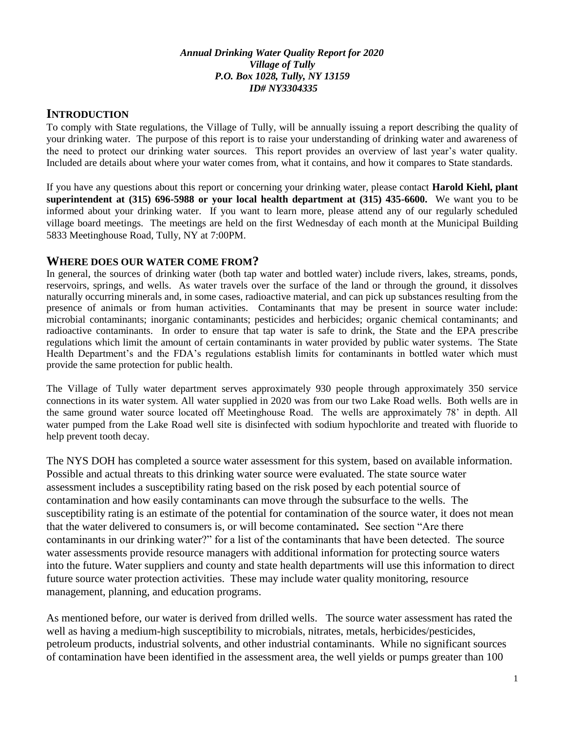#### *Annual Drinking Water Quality Report for 2020 Village of Tully P.O. Box 1028, Tully, NY 13159 ID# NY3304335*

### **INTRODUCTION**

To comply with State regulations, the Village of Tully, will be annually issuing a report describing the quality of your drinking water. The purpose of this report is to raise your understanding of drinking water and awareness of the need to protect our drinking water sources. This report provides an overview of last year's water quality. Included are details about where your water comes from, what it contains, and how it compares to State standards.

If you have any questions about this report or concerning your drinking water, please contact **Harold Kiehl, plant superintendent at (315) 696-5988 or your local health department at (315) 435-6600.** We want you to be informed about your drinking water. If you want to learn more, please attend any of our regularly scheduled village board meetings. The meetings are held on the first Wednesday of each month at the Municipal Building 5833 Meetinghouse Road, Tully, NY at 7:00PM.

### **WHERE DOES OUR WATER COME FROM?**

In general, the sources of drinking water (both tap water and bottled water) include rivers, lakes, streams, ponds, reservoirs, springs, and wells. As water travels over the surface of the land or through the ground, it dissolves naturally occurring minerals and, in some cases, radioactive material, and can pick up substances resulting from the presence of animals or from human activities. Contaminants that may be present in source water include: microbial contaminants; inorganic contaminants; pesticides and herbicides; organic chemical contaminants; and radioactive contaminants. In order to ensure that tap water is safe to drink, the State and the EPA prescribe regulations which limit the amount of certain contaminants in water provided by public water systems. The State Health Department's and the FDA's regulations establish limits for contaminants in bottled water which must provide the same protection for public health.

The Village of Tully water department serves approximately 930 people through approximately 350 service connections in its water system. All water supplied in 2020 was from our two Lake Road wells. Both wells are in the same ground water source located off Meetinghouse Road. The wells are approximately 78' in depth. All water pumped from the Lake Road well site is disinfected with sodium hypochlorite and treated with fluoride to help prevent tooth decay.

The NYS DOH has completed a source water assessment for this system, based on available information. Possible and actual threats to this drinking water source were evaluated. The state source water assessment includes a susceptibility rating based on the risk posed by each potential source of contamination and how easily contaminants can move through the subsurface to the wells. The susceptibility rating is an estimate of the potential for contamination of the source water, it does not mean that the water delivered to consumers is, or will become contaminated**.** See section "Are there contaminants in our drinking water?" for a list of the contaminants that have been detected. The source water assessments provide resource managers with additional information for protecting source waters into the future. Water suppliers and county and state health departments will use this information to direct future source water protection activities. These may include water quality monitoring, resource management, planning, and education programs.

As mentioned before, our water is derived from drilled wells. The source water assessment has rated the well as having a medium-high susceptibility to microbials, nitrates, metals, herbicides/pesticides, petroleum products, industrial solvents, and other industrial contaminants. While no significant sources of contamination have been identified in the assessment area, the well yields or pumps greater than 100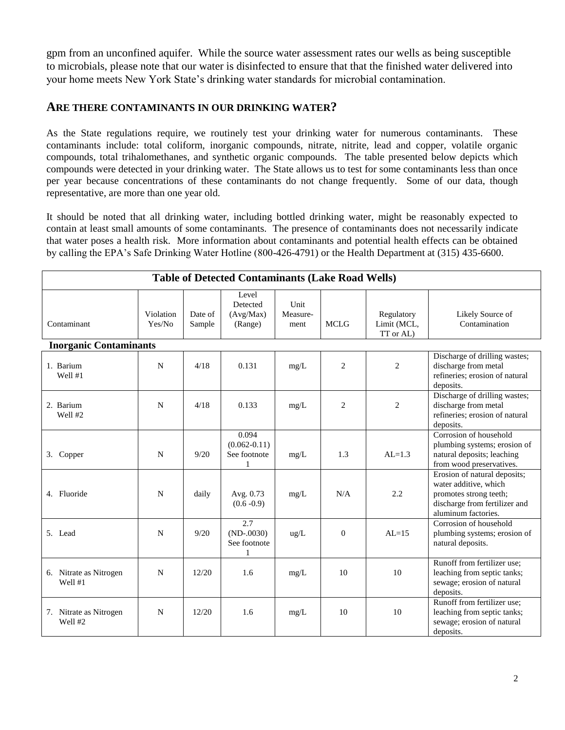gpm from an unconfined aquifer. While the source water assessment rates our wells as being susceptible to microbials, please note that our water is disinfected to ensure that that the finished water delivered into your home meets New York State's drinking water standards for microbial contamination.

#### **ARE THERE CONTAMINANTS IN OUR DRINKING WATER?**

As the State regulations require, we routinely test your drinking water for numerous contaminants. These contaminants include: total coliform, inorganic compounds, nitrate, nitrite, lead and copper, volatile organic compounds, total trihalomethanes, and synthetic organic compounds. The table presented below depicts which compounds were detected in your drinking water. The State allows us to test for some contaminants less than once per year because concentrations of these contaminants do not change frequently. Some of our data, though representative, are more than one year old.

It should be noted that all drinking water, including bottled drinking water, might be reasonably expected to contain at least small amounts of some contaminants. The presence of contaminants does not necessarily indicate that water poses a health risk. More information about contaminants and potential health effects can be obtained by calling the EPA's Safe Drinking Water Hotline (800-426-4791) or the Health Department at (315) 435-6600.

| <b>Table of Detected Contaminants (Lake Road Wells)</b> |                     |                   |                                                |                          |                |                                        |                                                                                                                                         |  |  |  |  |  |
|---------------------------------------------------------|---------------------|-------------------|------------------------------------------------|--------------------------|----------------|----------------------------------------|-----------------------------------------------------------------------------------------------------------------------------------------|--|--|--|--|--|
| Contaminant                                             | Violation<br>Yes/No | Date of<br>Sample | Level<br>Detected<br>(Avg/Max)<br>(Range)      | Unit<br>Measure-<br>ment | <b>MCLG</b>    | Regulatory<br>Limit (MCL,<br>TT or AL) | Likely Source of<br>Contamination                                                                                                       |  |  |  |  |  |
| <b>Inorganic Contaminants</b>                           |                     |                   |                                                |                          |                |                                        |                                                                                                                                         |  |  |  |  |  |
| 1. Barium<br>Well #1                                    | N                   | 4/18              | 0.131                                          | mg/L                     | $\overline{2}$ | $\overline{2}$                         | Discharge of drilling wastes;<br>discharge from metal<br>refineries; erosion of natural<br>deposits.                                    |  |  |  |  |  |
| 2. Barium<br>Well #2                                    | N                   | 4/18              | 0.133                                          | mg/L                     | $\overline{2}$ | 2                                      | Discharge of drilling wastes;<br>discharge from metal<br>refineries; erosion of natural<br>deposits.                                    |  |  |  |  |  |
| 3. Copper                                               | N                   | 9/20              | 0.094<br>$(0.062 - 0.11)$<br>See footnote<br>1 | mg/L                     | 1.3            | $AI = 1.3$                             | Corrosion of household<br>plumbing systems; erosion of<br>natural deposits; leaching<br>from wood preservatives.                        |  |  |  |  |  |
| 4. Fluoride                                             | N                   | daily             | Avg. 0.73<br>$(0.6 - 0.9)$                     | mg/L                     | N/A            | 2.2                                    | Erosion of natural deposits;<br>water additive, which<br>promotes strong teeth;<br>discharge from fertilizer and<br>aluminum factories. |  |  |  |  |  |
| 5. Lead                                                 | N                   | 9/20              | 2.7<br>$(ND-0030)$<br>See footnote<br>1        | ug/L                     | $\mathbf{0}$   | $AI = 15$                              | Corrosion of household<br>plumbing systems; erosion of<br>natural deposits.                                                             |  |  |  |  |  |
| 6. Nitrate as Nitrogen<br>Well #1                       | N                   | 12/20             | 1.6                                            | mg/L                     | 10             | 10                                     | Runoff from fertilizer use;<br>leaching from septic tanks;<br>sewage; erosion of natural<br>deposits.                                   |  |  |  |  |  |
| 7. Nitrate as Nitrogen<br>Well #2                       | N                   | 12/20             | 1.6                                            | mg/L                     | 10             | 10                                     | Runoff from fertilizer use;<br>leaching from septic tanks;<br>sewage; erosion of natural<br>deposits.                                   |  |  |  |  |  |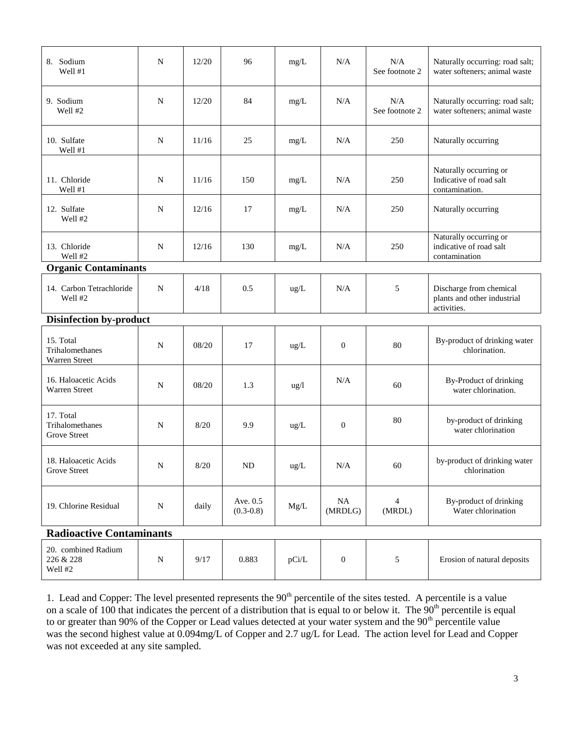| 8. Sodium<br>Well #1                          | N           | 12/20  | 96                        | mg/L            | N/A              | N/A<br>See footnote 2 | Naturally occurring: road salt;<br>water softeners; animal waste      |  |  |  |
|-----------------------------------------------|-------------|--------|---------------------------|-----------------|------------------|-----------------------|-----------------------------------------------------------------------|--|--|--|
| 9. Sodium<br>Well #2                          | N           | 12/20  | 84                        | mg/L            | N/A              | N/A<br>See footnote 2 | Naturally occurring: road salt;<br>water softeners; animal waste      |  |  |  |
| 10. Sulfate<br>Well #1                        | $\mathbf N$ | 11/16  | 25                        | mg/L            | N/A              | 250                   | Naturally occurring                                                   |  |  |  |
| 11. Chloride<br>Well #1                       | N           | 11/16  | 150                       | mg/L            | N/A              | 250                   | Naturally occurring or<br>Indicative of road salt<br>contamination.   |  |  |  |
| 12. Sulfate<br>Well #2                        | $\mathbf N$ | 12/16  | 17                        | mg/L            | N/A              | 250                   | Naturally occurring                                                   |  |  |  |
| 13. Chloride<br>Well #2                       | $\mathbf N$ | 12/16  | 130                       | mg/L            | N/A              | 250                   | Naturally occurring or<br>indicative of road salt<br>contamination    |  |  |  |
| <b>Organic Contaminants</b>                   |             |        |                           |                 |                  |                       |                                                                       |  |  |  |
| 14. Carbon Tetrachloride<br>Well #2           | ${\bf N}$   | 4/18   | 0.5                       | ug/L            | N/A              | 5                     | Discharge from chemical<br>plants and other industrial<br>activities. |  |  |  |
| <b>Disinfection by-product</b>                |             |        |                           |                 |                  |                       |                                                                       |  |  |  |
| 15. Total<br>Trihalomethanes<br>Warren Street | $\mathbf N$ | 08/20  | 17                        | ug/L            | $\mathbf{0}$     | 80                    | By-product of drinking water<br>chlorination.                         |  |  |  |
| 16. Haloacetic Acids<br>Warren Street         | $\mathbf N$ | 08/20  | 1.3                       | $\frac{u g}{l}$ | N/A              | 60                    | By-Product of drinking<br>water chlorination.                         |  |  |  |
| 17. Total<br>Trihalomethanes<br>Grove Street  | $\mathbf N$ | 8/20   | 9.9                       | ug/L            | $\mathbf{0}$     | 80                    | by-product of drinking<br>water chlorination                          |  |  |  |
| 18. Haloacetic Acids<br><b>Grove Street</b>   | ${\bf N}$   | $8/20$ | $\rm ND$                  | ug/L            | $\rm N/A$        | 60                    | by-product of drinking water<br>chlorination                          |  |  |  |
| 19. Chlorine Residual                         | ${\bf N}$   | daily  | Ave. 0.5<br>$(0.3 - 0.8)$ | Mg/L            | NA<br>(MRDLG)    | 4<br>(MRDL)           | By-product of drinking<br>Water chlorination                          |  |  |  |
| <b>Radioactive Contaminants</b>               |             |        |                           |                 |                  |                       |                                                                       |  |  |  |
| 20. combined Radium<br>226 & 228<br>Well #2   | ${\bf N}$   | 9/17   | 0.883                     | pCi/L           | $\boldsymbol{0}$ | $\sqrt{5}$            | Erosion of natural deposits                                           |  |  |  |

1. Lead and Copper: The level presented represents the  $90<sup>th</sup>$  percentile of the sites tested. A percentile is a value on a scale of 100 that indicates the percent of a distribution that is equal to or below it. The  $90<sup>th</sup>$  percentile is equal to or greater than 90% of the Copper or Lead values detected at your water system and the 90<sup>th</sup> percentile value was the second highest value at  $0.094$ mg/L of Copper and 2.7 ug/L for Lead. The action level for Lead and Copper was not exceeded at any site sampled.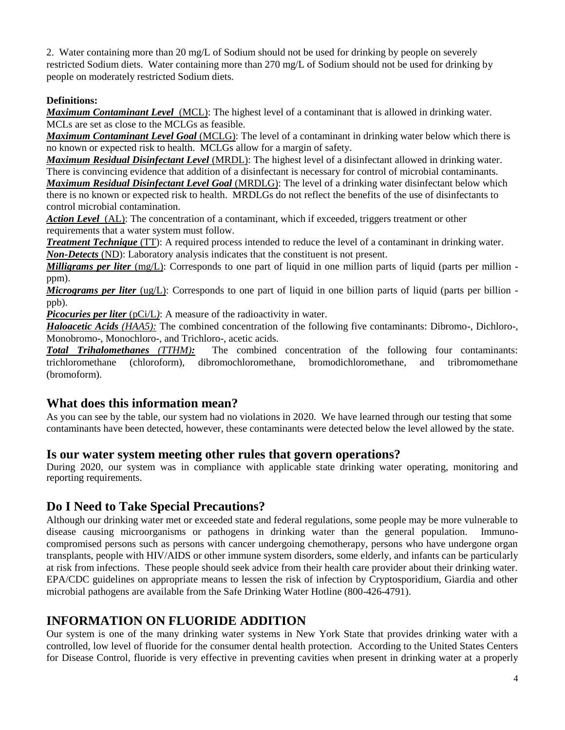2. Water containing more than 20 mg/L of Sodium should not be used for drinking by people on severely restricted Sodium diets. Water containing more than 270 mg/L of Sodium should not be used for drinking by people on moderately restricted Sodium diets.

## **Definitions:**

*Maximum Contaminant Level*(MCL): The highest level of a contaminant that is allowed in drinking water. MCLs are set as close to the MCLGs as feasible.

*Maximum Contaminant Level Goal* (MCLG): The level of a contaminant in drinking water below which there is no known or expected risk to health. MCLGs allow for a margin of safety.

*Maximum Residual Disinfectant Level* (MRDL): The highest level of a disinfectant allowed in drinking water. There is convincing evidence that addition of a disinfectant is necessary for control of microbial contaminants.

*Maximum Residual Disinfectant Level Goal* (MRDLG): The level of a drinking water disinfectant below which there is no known or expected risk to health. MRDLGs do not reflect the benefits of the use of disinfectants to control microbial contamination.

*Action Level*(AL): The concentration of a contaminant, which if exceeded, triggers treatment or other requirements that a water system must follow.

*Treatment Technique* (TT): A required process intended to reduce the level of a contaminant in drinking water. *Non-Detects* (ND): Laboratory analysis indicates that the constituent is not present.

*Milligrams per liter* (mg/L): Corresponds to one part of liquid in one million parts of liquid (parts per million ppm).

*Micrograms per liter* (ug/L): Corresponds to one part of liquid in one billion parts of liquid (parts per billion ppb).

*Picocuries per liter (pCi/L)*: A measure of the radioactivity in water.

*Haloacetic Acids (HAA5):* The combined concentration of the following five contaminants: Dibromo-, Dichloro-, Monobromo-, Monochloro-, and Trichloro-, acetic acids.

*Total Trihalomethanes (TTHM):*The combined concentration of the following four contaminants: trichloromethane (chloroform), dibromochloromethane, bromodichloromethane, and tribromomethane (bromoform).

## **What does this information mean?**

As you can see by the table, our system had no violations in 2020. We have learned through our testing that some contaminants have been detected, however, these contaminants were detected below the level allowed by the state.

## **Is our water system meeting other rules that govern operations?**

During 2020, our system was in compliance with applicable state drinking water operating, monitoring and reporting requirements.

## **Do I Need to Take Special Precautions?**

Although our drinking water met or exceeded state and federal regulations, some people may be more vulnerable to disease causing microorganisms or pathogens in drinking water than the general population. Immunocompromised persons such as persons with cancer undergoing chemotherapy, persons who have undergone organ transplants, people with HIV/AIDS or other immune system disorders, some elderly, and infants can be particularly at risk from infections. These people should seek advice from their health care provider about their drinking water. EPA/CDC guidelines on appropriate means to lessen the risk of infection by Cryptosporidium, Giardia and other microbial pathogens are available from the Safe Drinking Water Hotline (800-426-4791).

# **INFORMATION ON FLUORIDE ADDITION**

Our system is one of the many drinking water systems in New York State that provides drinking water with a controlled, low level of fluoride for the consumer dental health protection. According to the United States Centers for Disease Control, fluoride is very effective in preventing cavities when present in drinking water at a properly